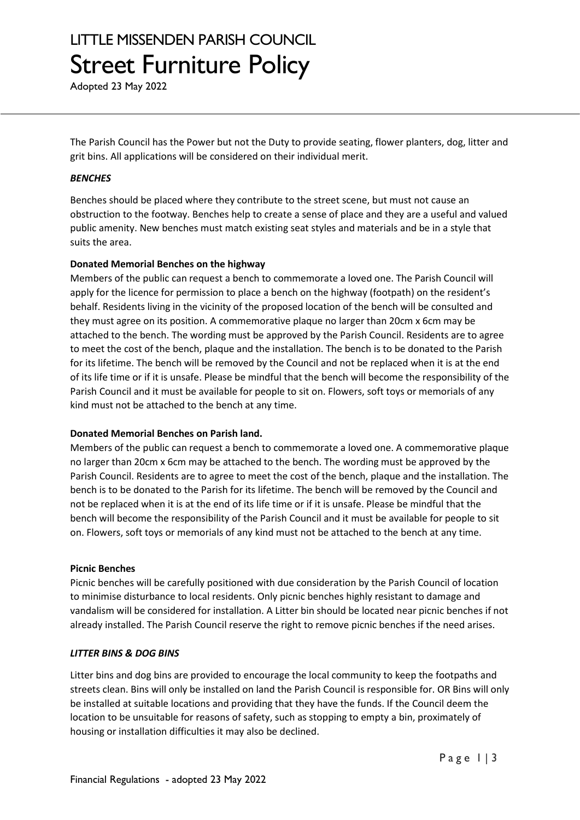# LITTLE MISSENDEN PARISH COUNCIL Street Furniture Policy

Adopted 23 May 2022

The Parish Council has the Power but not the Duty to provide seating, flower planters, dog, litter and grit bins. All applications will be considered on their individual merit.

### *BENCHES*

Benches should be placed where they contribute to the street scene, but must not cause an obstruction to the footway. Benches help to create a sense of place and they are a useful and valued public amenity. New benches must match existing seat styles and materials and be in a style that suits the area.

### **Donated Memorial Benches on the highway**

Members of the public can request a bench to commemorate a loved one. The Parish Council will apply for the licence for permission to place a bench on the highway (footpath) on the resident's behalf. Residents living in the vicinity of the proposed location of the bench will be consulted and they must agree on its position. A commemorative plaque no larger than 20cm x 6cm may be attached to the bench. The wording must be approved by the Parish Council. Residents are to agree to meet the cost of the bench, plaque and the installation. The bench is to be donated to the Parish for its lifetime. The bench will be removed by the Council and not be replaced when it is at the end of its life time or if it is unsafe. Please be mindful that the bench will become the responsibility of the Parish Council and it must be available for people to sit on. Flowers, soft toys or memorials of any kind must not be attached to the bench at any time.

### **Donated Memorial Benches on Parish land.**

Members of the public can request a bench to commemorate a loved one. A commemorative plaque no larger than 20cm x 6cm may be attached to the bench. The wording must be approved by the Parish Council. Residents are to agree to meet the cost of the bench, plaque and the installation. The bench is to be donated to the Parish for its lifetime. The bench will be removed by the Council and not be replaced when it is at the end of its life time or if it is unsafe. Please be mindful that the bench will become the responsibility of the Parish Council and it must be available for people to sit on. Flowers, soft toys or memorials of any kind must not be attached to the bench at any time.

### **Picnic Benches**

Picnic benches will be carefully positioned with due consideration by the Parish Council of location to minimise disturbance to local residents. Only picnic benches highly resistant to damage and vandalism will be considered for installation. A Litter bin should be located near picnic benches if not already installed. The Parish Council reserve the right to remove picnic benches if the need arises.

### *LITTER BINS & DOG BINS*

Litter bins and dog bins are provided to encourage the local community to keep the footpaths and streets clean. Bins will only be installed on land the Parish Council is responsible for. OR Bins will only be installed at suitable locations and providing that they have the funds. If the Council deem the location to be unsuitable for reasons of safety, such as stopping to empty a bin, proximately of housing or installation difficulties it may also be declined.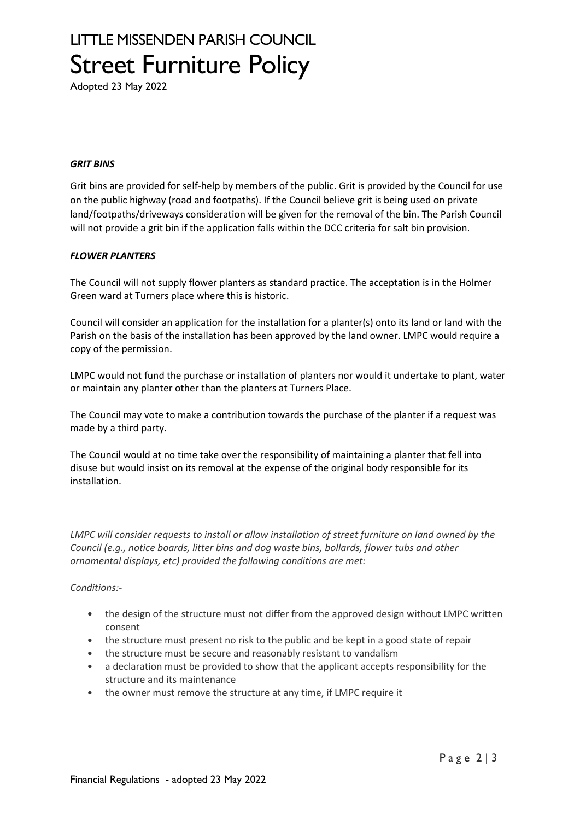# LITTLE MISSENDEN PARISH COUNCIL Street Furniture Policy

Adopted 23 May 2022

#### *GRIT BINS*

Grit bins are provided for self-help by members of the public. Grit is provided by the Council for use on the public highway (road and footpaths). If the Council believe grit is being used on private land/footpaths/driveways consideration will be given for the removal of the bin. The Parish Council will not provide a grit bin if the application falls within the DCC criteria for salt bin provision.

### *FLOWER PLANTERS*

The Council will not supply flower planters as standard practice. The acceptation is in the Holmer Green ward at Turners place where this is historic.

Council will consider an application for the installation for a planter(s) onto its land or land with the Parish on the basis of the installation has been approved by the land owner. LMPC would require a copy of the permission.

LMPC would not fund the purchase or installation of planters nor would it undertake to plant, water or maintain any planter other than the planters at Turners Place.

The Council may vote to make a contribution towards the purchase of the planter if a request was made by a third party.

The Council would at no time take over the responsibility of maintaining a planter that fell into disuse but would insist on its removal at the expense of the original body responsible for its installation.

*LMPC will consider requests to install or allow installation of street furniture on land owned by the Council (e.g., notice boards, litter bins and dog waste bins, bollards, flower tubs and other ornamental displays, etc) provided the following conditions are met:*

### *Conditions:-*

- the design of the structure must not differ from the approved design without LMPC written consent
- the structure must present no risk to the public and be kept in a good state of repair
- the structure must be secure and reasonably resistant to vandalism
- a declaration must be provided to show that the applicant accepts responsibility for the structure and its maintenance
- the owner must remove the structure at any time, if LMPC require it